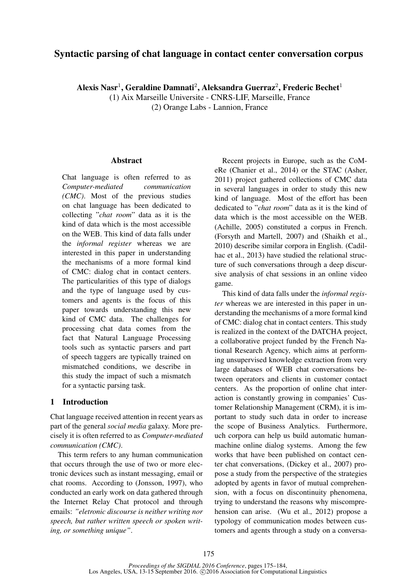# Syntactic parsing of chat language in contact center conversation corpus

Alexis Nasr<sup>1</sup>, Geraldine Damnati<sup>2</sup>, Aleksandra Guerraz<sup>2</sup>, Frederic Bechet<sup>1</sup>

(1) Aix Marseille Universite - CNRS-LIF, Marseille, France (2) Orange Labs - Lannion, France

# **Abstract**

Chat language is often referred to as *Computer-mediated communication (CMC)*. Most of the previous studies on chat language has been dedicated to collecting "*chat room*" data as it is the kind of data which is the most accessible on the WEB. This kind of data falls under the *informal register* whereas we are interested in this paper in understanding the mechanisms of a more formal kind of CMC: dialog chat in contact centers. The particularities of this type of dialogs and the type of language used by customers and agents is the focus of this paper towards understanding this new kind of CMC data. The challenges for processing chat data comes from the fact that Natural Language Processing tools such as syntactic parsers and part of speech taggers are typically trained on mismatched conditions, we describe in this study the impact of such a mismatch for a syntactic parsing task.

# 1 Introduction

Chat language received attention in recent years as part of the general *social media* galaxy. More precisely it is often referred to as *Computer-mediated communication (CMC)*.

This term refers to any human communication that occurs through the use of two or more electronic devices such as instant messaging, email or chat rooms. According to (Jonsson, 1997), who conducted an early work on data gathered through the Internet Relay Chat protocol and through emails: *"eletronic discourse is neither writing nor speech, but rather written speech or spoken writing, or something unique"*.

Recent projects in Europe, such as the CoMeRe (Chanier et al., 2014) or the STAC (Asher, 2011) project gathered collections of CMC data in several languages in order to study this new kind of language. Most of the effort has been dedicated to "*chat room*" data as it is the kind of data which is the most accessible on the WEB. (Achille, 2005) constituted a corpus in French. (Forsyth and Martell, 2007) and (Shaikh et al., 2010) describe similar corpora in English. (Cadilhac et al., 2013) have studied the relational structure of such conversations through a deep discursive analysis of chat sessions in an online video game.

This kind of data falls under the *informal register* whereas we are interested in this paper in understanding the mechanisms of a more formal kind of CMC: dialog chat in contact centers. This study is realized in the context of the DATCHA project, a collaborative project funded by the French National Research Agency, which aims at performing unsupervised knowledge extraction from very large databases of WEB chat conversations between operators and clients in customer contact centers. As the proportion of online chat interaction is constantly growing in companies' Customer Relationship Management (CRM), it is important to study such data in order to increase the scope of Business Analytics. Furthermore, uch corpora can help us build automatic humanmachine online dialog systems. Among the few works that have been published on contact center chat conversations, (Dickey et al., 2007) propose a study from the perspective of the strategies adopted by agents in favor of mutual comprehension, with a focus on discontinuity phenomena, trying to understand the reasons why miscomprehension can arise. (Wu et al., 2012) propose a typology of communication modes between customers and agents through a study on a conversa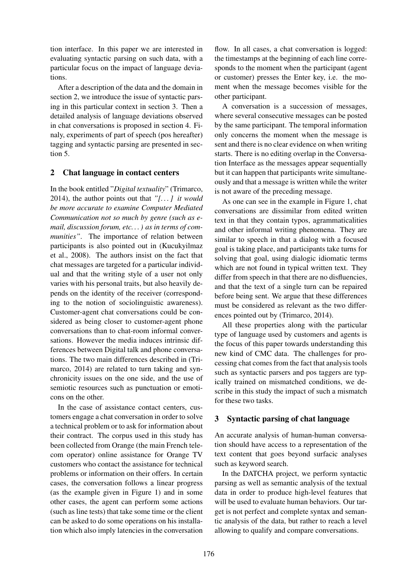tion interface. In this paper we are interested in evaluating syntactic parsing on such data, with a particular focus on the impact of language deviations.

After a description of the data and the domain in section 2, we introduce the issue of syntactic parsing in this particular context in section 3. Then a detailed analysis of language deviations observed in chat conversations is proposed in section 4. Finaly, experiments of part of speech (pos hereafter) tagging and syntactic parsing are presented in section 5.

# 2 Chat language in contact centers

In the book entitled "*Digital textuality*" (Trimarco, 2014), the author points out that *"[. . . ] it would be more accurate to examine Computer Mediated Communication not so much by genre (such as email, discussion forum, etc. . . ) as in terms of communities"*. The importance of relation between participants is also pointed out in (Kucukyilmaz et al., 2008). The authors insist on the fact that chat messages are targeted for a particular individual and that the writing style of a user not only varies with his personal traits, but also heavily depends on the identity of the receiver (corresponding to the notion of sociolinguistic awareness). Customer-agent chat conversations could be considered as being closer to customer-agent phone conversations than to chat-room informal conversations. However the media induces intrinsic differences between Digital talk and phone conversations. The two main differences described in (Trimarco, 2014) are related to turn taking and synchronicity issues on the one side, and the use of semiotic resources such as punctuation or emoticons on the other.

In the case of assistance contact centers, customers engage a chat conversation in order to solve a technical problem or to ask for information about their contract. The corpus used in this study has been collected from Orange (the main French telecom operator) online assistance for Orange TV customers who contact the assistance for technical problems or information on their offers. In certain cases, the conversation follows a linear progress (as the example given in Figure 1) and in some other cases, the agent can perform some actions (such as line tests) that take some time or the client can be asked to do some operations on his installation which also imply latencies in the conversation

flow. In all cases, a chat conversation is logged: the timestamps at the beginning of each line corresponds to the moment when the participant (agent or customer) presses the Enter key, i.e. the moment when the message becomes visible for the other participant.

A conversation is a succession of messages, where several consecutive messages can be posted by the same participant. The temporal information only concerns the moment when the message is sent and there is no clear evidence on when writing starts. There is no editing overlap in the Conversation Interface as the messages appear sequentially but it can happen that participants write simultaneously and that a message is written while the writer is not aware of the preceding message.

As one can see in the example in Figure 1, chat conversations are dissimilar from edited written text in that they contain typos, agrammaticalities and other informal writing phenomena. They are similar to speech in that a dialog with a focused goal is taking place, and participants take turns for solving that goal, using dialogic idiomatic terms which are not found in typical written text. They differ from speech in that there are no disfluencies, and that the text of a single turn can be repaired before being sent. We argue that these differences must be considered as relevant as the two differences pointed out by (Trimarco, 2014).

All these properties along with the particular type of language used by customers and agents is the focus of this paper towards understanding this new kind of CMC data. The challenges for processing chat comes from the fact that analysis tools such as syntactic parsers and pos taggers are typically trained on mismatched conditions, we describe in this study the impact of such a mismatch for these two tasks.

## 3 Syntactic parsing of chat language

An accurate analysis of human-human conversation should have access to a representation of the text content that goes beyond surfacic analyses such as keyword search.

In the DATCHA project, we perform syntactic parsing as well as semantic analysis of the textual data in order to produce high-level features that will be used to evaluate human behaviors. Our target is not perfect and complete syntax and semantic analysis of the data, but rather to reach a level allowing to qualify and compare conversations.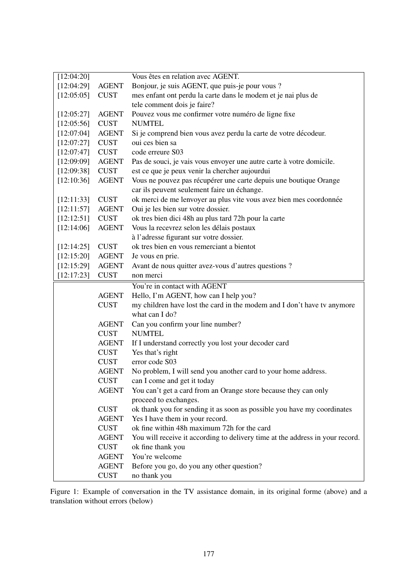| [12:04:20] |              | Vous êtes en relation avec AGENT.                                             |
|------------|--------------|-------------------------------------------------------------------------------|
| [12:04:29] | <b>AGENT</b> | Bonjour, je suis AGENT, que puis-je pour vous ?                               |
| [12:05:05] | <b>CUST</b>  | mes enfant ont perdu la carte dans le modem et je nai plus de                 |
|            |              | tele comment dois je faire?                                                   |
| [12:05:27] | <b>AGENT</b> | Pouvez vous me confirmer votre numéro de ligne fixe                           |
| [12:05:56] | <b>CUST</b>  | <b>NUMTEL</b>                                                                 |
| [12:07:04] | <b>AGENT</b> | Si je comprend bien vous avez perdu la carte de votre décodeur.               |
| [12:07:27] | <b>CUST</b>  | oui ces bien sa                                                               |
| [12:07:47] | <b>CUST</b>  | code erreure S03                                                              |
| [12:09:09] | <b>AGENT</b> | Pas de souci, je vais vous envoyer une autre carte à votre domicile.          |
| [12:09:38] | <b>CUST</b>  | est ce que je peux venir la chercher aujourdui                                |
| [12:10:36] | <b>AGENT</b> | Vous ne pouvez pas récupérer une carte depuis une boutique Orange             |
|            |              | car ils peuvent seulement faire un échange.                                   |
| [12:11:33] | <b>CUST</b>  | ok merci de me lenvoyer au plus vite vous avez bien mes coordonnée            |
| [12:11:57] | <b>AGENT</b> | Oui je les bien sur votre dossier.                                            |
| [12:12:51] | <b>CUST</b>  | ok tres bien dici 48h au plus tard 72h pour la carte                          |
| [12:14:06] | <b>AGENT</b> | Vous la recevrez selon les délais postaux                                     |
|            |              | à l'adresse figurant sur votre dossier.                                       |
| [12:14:25] | <b>CUST</b>  | ok tres bien en vous remerciant a bientot                                     |
| [12:15:20] | <b>AGENT</b> | Je vous en prie.                                                              |
| [12:15:29] | <b>AGENT</b> | Avant de nous quitter avez-vous d'autres questions ?                          |
| [12:17:23] | <b>CUST</b>  | non merci                                                                     |
|            |              | You're in contact with AGENT                                                  |
|            | <b>AGENT</b> | Hello, I'm AGENT, how can I help you?                                         |
|            | <b>CUST</b>  | my children have lost the card in the modem and I don't have tv anymore       |
|            |              | what can I do?                                                                |
|            | <b>AGENT</b> | Can you confirm your line number?                                             |
|            | <b>CUST</b>  | <b>NUMTEL</b>                                                                 |
|            | <b>AGENT</b> | If I understand correctly you lost your decoder card                          |
|            | <b>CUST</b>  | Yes that's right                                                              |
|            | <b>CUST</b>  | error code S03                                                                |
|            | <b>AGENT</b> | No problem, I will send you another card to your home address.                |
|            | <b>CUST</b>  | can I come and get it today                                                   |
|            | <b>AGENT</b> | You can't get a card from an Orange store because they can only               |
|            |              | proceed to exchanges.                                                         |
|            | <b>CUST</b>  | ok thank you for sending it as soon as possible you have my coordinates       |
|            | <b>AGENT</b> | Yes I have them in your record.                                               |
|            | <b>CUST</b>  | ok fine within 48h maximum 72h for the card                                   |
|            | <b>AGENT</b> | You will receive it according to delivery time at the address in your record. |
|            | <b>CUST</b>  | ok fine thank you                                                             |
|            | <b>AGENT</b> | You're welcome                                                                |
|            | <b>AGENT</b> | Before you go, do you any other question?                                     |
|            | <b>CUST</b>  | no thank you                                                                  |

Figure 1: Example of conversation in the TV assistance domain, in its original forme (above) and a translation without errors (below)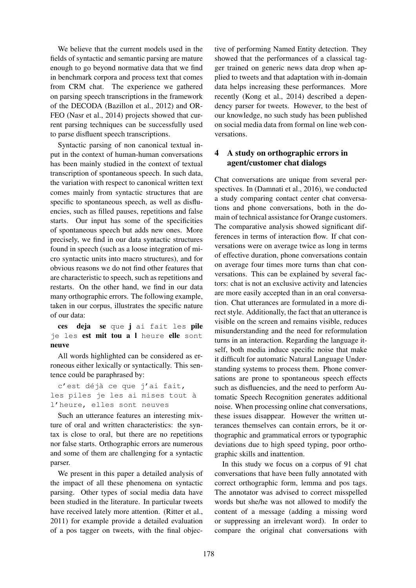We believe that the current models used in the fields of syntactic and semantic parsing are mature enough to go beyond normative data that we find in benchmark corpora and process text that comes from CRM chat. The experience we gathered on parsing speech transcriptions in the framework of the DECODA (Bazillon et al., 2012) and OR-FEO (Nasr et al., 2014) projects showed that current parsing techniques can be successfully used to parse disfluent speech transcriptions.

Syntactic parsing of non canonical textual input in the context of human-human conversations has been mainly studied in the context of textual transcription of spontaneous speech. In such data, the variation with respect to canonical written text comes mainly from syntactic structures that are specific to spontaneous speech, as well as disfluencies, such as filled pauses, repetitions and false starts. Our input has some of the specificities of spontaneous speech but adds new ones. More precisely, we find in our data syntactic structures found in speech (such as a loose integration of micro syntactic units into macro structures), and for obvious reasons we do not find other features that are characteristic to speech, such as repetitions and restarts. On the other hand, we find in our data many orthographic errors. The following example, taken in our corpus, illustrates the specific nature of our data:

ces deja se que j ai fait les pile je les est mit tou a l heure elle sont neuve

All words highlighted can be considered as erroneous either lexically or syntactically. This sentence could be paraphrased by:

c'est déjà ce que j'ai fait, les piles je les ai mises tout à l'heure, elles sont neuves

Such an utterance features an interesting mixture of oral and written characteristics: the syntax is close to oral, but there are no repetitions nor false starts. Orthographic errors are numerous and some of them are challenging for a syntactic parser.

We present in this paper a detailed analysis of the impact of all these phenomena on syntactic parsing. Other types of social media data have been studied in the literature. In particular tweets have received lately more attention. (Ritter et al., 2011) for example provide a detailed evaluation of a pos tagger on tweets, with the final objective of performing Named Entity detection. They showed that the performances of a classical tagger trained on generic news data drop when applied to tweets and that adaptation with in-domain data helps increasing these performances. More recently (Kong et al., 2014) described a dependency parser for tweets. However, to the best of our knowledge, no such study has been published on social media data from formal on line web conversations.

# 4 A study on orthographic errors in agent/customer chat dialogs

Chat conversations are unique from several perspectives. In (Damnati et al., 2016), we conducted a study comparing contact center chat conversations and phone conversations, both in the domain of technical assistance for Orange customers. The comparative analysis showed significant differences in terms of interaction flow. If chat conversations were on average twice as long in terms of effective duration, phone conversations contain on average four times more turns than chat conversations. This can be explained by several factors: chat is not an exclusive activity and latencies are more easily accepted than in an oral conversation. Chat utterances are formulated in a more direct style. Additionally, the fact that an utterance is visible on the screen and remains visible, reduces misunderstanding and the need for reformulation turns in an interaction. Regarding the language itself, both media induce specific noise that make it difficult for automatic Natural Language Understanding systems to process them. Phone conversations are prone to spontaneous speech effects such as disfluencies, and the need to perform Automatic Speech Recognition generates additional noise. When processing online chat conversations, these issues disappear. However the written utterances themselves can contain errors, be it orthographic and grammatical errors or typographic deviations due to high speed typing, poor orthographic skills and inattention.

In this study we focus on a corpus of 91 chat conversations that have been fully annotated with correct orthographic form, lemma and pos tags. The annotator was advised to correct misspelled words but she/he was not allowed to modify the content of a message (adding a missing word or suppressing an irrelevant word). In order to compare the original chat conversations with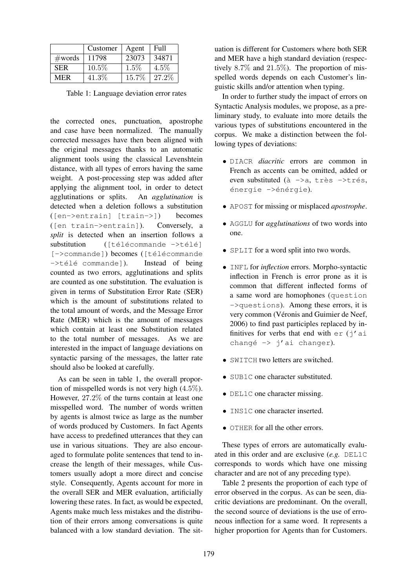|            | Customer | Agent   | <b>Full</b> |
|------------|----------|---------|-------------|
| #words     | 11798    | 23073   | 34871       |
| <b>SER</b> | $10.5\%$ | $1.5\%$ | $4.5\%$     |
| MER        | 41.3%    | 15.7%   | 27.2\%      |

Table 1: Language deviation error rates

the corrected ones, punctuation, apostrophe and case have been normalized. The manually corrected messages have then been aligned with the original messages thanks to an automatic alignment tools using the classical Levenshtein distance, with all types of errors having the same weight. A post-processing step was added after applying the alignment tool, in order to detect agglutinations or splits. An *agglutination* is detected when a deletion follows a substitution ([en->entrain] [train->]) becomes ([en train->entrain]). Conversely, a *split* is detected when an insertion follows a  $substitution$  ([télécommande ->télé] [->commande]) becomes ([télécommande  $-\rightarrow$ télé commande]). Instead of being counted as two errors, agglutinations and splits are counted as one substitution. The evaluation is given in terms of Substitution Error Rate (SER) which is the amount of substitutions related to the total amount of words, and the Message Error Rate (MER) which is the amount of messages which contain at least one Substitution related to the total number of messages. As we are interested in the impact of language deviations on syntactic parsing of the messages, the latter rate should also be looked at carefully.

As can be seen in table 1, the overall proportion of misspelled words is not very high (4.5%). However, 27.2% of the turns contain at least one misspelled word. The number of words written by agents is almost twice as large as the number of words produced by Customers. In fact Agents have access to predefined utterances that they can use in various situations. They are also encouraged to formulate polite sentences that tend to increase the length of their messages, while Customers usually adopt a more direct and concise style. Consequently, Agents account for more in the overall SER and MER evaluation, artificially lowering these rates. In fact, as would be expected, Agents make much less mistakes and the distribution of their errors among conversations is quite balanced with a low standard deviation. The situation is different for Customers where both SER and MER have a high standard deviation (respectively 8.7% and 21.5%). The proportion of misspelled words depends on each Customer's linguistic skills and/or attention when typing.

In order to further study the impact of errors on Syntactic Analysis modules, we propose, as a preliminary study, to evaluate into more details the various types of substitutions encountered in the corpus. We make a distinction between the following types of deviations:

- DIACR *diacritic* errors are common in French as accents can be omitted, added or even substituted (à  $\rightarrow$ a, très  $\rightarrow$ trés, énergie ->énérgie).
- APOST for missing or misplaced *apostrophe*.
- AGGLU for *agglutinations* of two words into one.
- SPLIT for a word split into two words.
- INFL for *inflection* errors. Morpho-syntactic inflection in French is error prone as it is common that different inflected forms of a same word are homophones (question ->questions). Among these errors, it is very common (Véronis and Guimier de Neef, 2006) to find past participles replaced by infinitives for verbs that end with  $er(i'ai)$ changé  $\rightarrow$  j'ai changer).
- SWITCH two letters are switched.
- SUB1C one character substituted.
- DEL1C one character missing.
- **INS1C** one character inserted.
- OTHER for all the other errors.

These types of errors are automatically evaluated in this order and are exclusive (*e.g.* DEL1C corresponds to words which have one missing character and are not of any preceding type).

Table 2 presents the proportion of each type of error observed in the corpus. As can be seen, diacritic deviations are predominant. On the overall, the second source of deviations is the use of erroneous inflection for a same word. It represents a higher proportion for Agents than for Customers.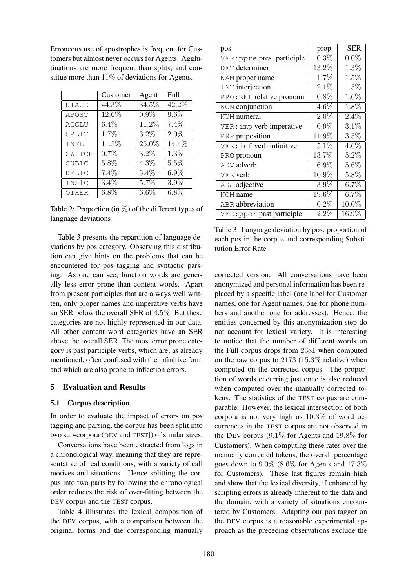Erroneous use of apostrophes is frequent for Customers but almost never occurs for Agents. Agglutinations are more frequent than splits, and constitue more than 11% of deviations for Agents.

|              | Customer | Agent   | Full    |
|--------------|----------|---------|---------|
| <b>DIACR</b> | 44.3%    | 34.5%   | 42.2%   |
| APOST        | 12.0%    | $0.9\%$ | 9.6%    |
| AGGLU        | 6.4%     | 11.2%   | 7.4%    |
| SPLIT        | $1.7\%$  | 3.2%    | $2.0\%$ |
| INFL         | 11.5%    | 25.0%   | 14.4%   |
| SWITCH       | 0.7%     | 3.2%    | 1.3%    |
| SUB1C        | 5.8%     | 4.3%    | 5.5%    |
| DEL1C        | 7.4%     | 5.4%    | $6.9\%$ |
| INS1C        | $3.4\%$  | 5.7%    | 3.9%    |
| OTHER        | 6.8%     | $6.6\%$ | $6.8\%$ |

Table 2: Proportion (in  $\%$ ) of the different types of language deviations

Table 3 presents the repartition of language deviations by pos category. Observing this distribution can give hints on the problems that can be encountered for pos tagging and syntactic parsing. As one can see, function words are generally less error prone than content words. Apart from present participles that are always well written, only proper names and imperative verbs have an SER below the overall SER of 4.5%. But these categories are not highly represented in our data. All other content word categories have an SER above the overall SER. The most error prone category is past participle verbs, which are, as already mentioned, often confused with the infinitive form and which are also prone to inflection errors.

# 5 Evaluation and Results

#### 5.1 Corpus description

In order to evaluate the impact of errors on pos tagging and parsing, the corpus has been split into two sub-corpora (DEV and TEST]) of similar sizes.

Conversations have been extracted from logs in a chronological way, meaning that they are representative of real conditions, with a variety of call motives and situations. Hence splitting the corpus into two parts by following the chronological order reduces the risk of over-fitting between the DEV corpus and the TEST corpus.

Table 4 illustrates the lexical composition of the DEV corpus, with a comparison between the original forms and the corresponding manually

| pos                        | prop.    | <b>SER</b> |
|----------------------------|----------|------------|
| VER: ppre pres. participle | 0.3%     | $0.0\%$    |
| DET determiner             | 13.2%    | 1.3%       |
| NAM proper name            | 1.7%     | 1.5%       |
| <b>INT</b> interjection    | 2.1%     | 1.5%       |
| PRO: REL relative pronoun  | 0.8%     | 1.6%       |
| KON conjunction            | 4.6%     | 1.8%       |
| NUM numeral                | $2.0\%$  | 2.4%       |
| VER: imp verb imperative   | $0.9\%$  | 3.1%       |
| PRP preposition            | 11.9%    | 3.5%       |
| VER: inf verb infinitive   | 5.1%     | 4.6%       |
| PRO pronoun                | 13.7%    | 5.2%       |
| ADV adverb                 | $6.9\%$  | 5.6%       |
| VER verb                   | $10.9\%$ | 5.8%       |
| ADJ adjective              | $3.9\%$  | $6.7\%$    |
| NOM name                   | 19.6%    | 6.7%       |
| ABR abbreviation           | 0.2%     | 10.0%      |
| VER: pper past participle  | $2.2\%$  | $16.9\%$   |

Table 3: Language deviation by pos: proportion of each pos in the corpus and corresponding Substitution Error Rate

corrected version. All conversations have been anonymized and personal information has been replaced by a specific label (one label for Customer names, one for Agent names, one for phone numbers and another one for addresses). Hence, the entities concerned by this anonymization step do not account for lexical variety. It is interesting to notice that the number of different words on the Full corpus drops from 2381 when computed on the raw corpus to 2173 (15.3% relative) when computed on the corrected corpus. The proportion of words occurring just once is also reduced when computed over the manually corrected tokens. The statistics of the TEST corpus are comparable. However, the lexical intersection of both corpora is not very high as 10.3% of word occurrences in the TEST corpus are not observed in the DEV corpus (9.1% for Agents and 19.8% for Customers). When computing these rates over the manually corrected tokens, the overall percentage goes down to  $9.0\%$  (8.6% for Agents and 17.3% for Customers). These last figures remain high and show that the lexical diversity, if enhanced by scripting errors is already inherent to the data and the domain, with a variety of situations encountered by Customers. Adapting our pos tagger on the DEV corpus is a reasonable experimental approach as the preceding observations exclude the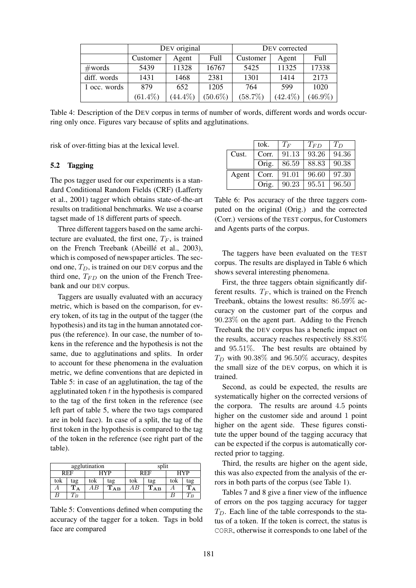|                  | DEV original |            |            | DEV corrected |            |            |
|------------------|--------------|------------|------------|---------------|------------|------------|
|                  | Customer     | Agent      | Full       | Customer      | Agent      | Full       |
| $\#\text{words}$ | 5439         | 11328      | 16767      | 5425          | 11325      | 17338      |
| diff. words      | 1431         | 1468       | 2381       | 1301          | 1414       | 2173       |
| 1 occ. words     | 879          | 652        | 1205       | 764           | 599        | 1020       |
|                  | $(61.4\%)$   | $(44.4\%)$ | $(50.6\%)$ | $(58.7\%)$    | $(42.4\%)$ | $(46.9\%)$ |

Table 4: Description of the DEV corpus in terms of number of words, different words and words occurring only once. Figures vary because of splits and agglutinations.

risk of over-fitting bias at the lexical level.

## 5.2 Tagging

The pos tagger used for our experiments is a standard Conditional Random Fields (CRF) (Lafferty et al., 2001) tagger which obtains state-of-the-art results on traditional benchmarks. We use a coarse tagset made of 18 different parts of speech.

Three different taggers based on the same architecture are evaluated, the first one,  $T_F$ , is trained on the French Treebank (Abeillé et al., 2003), which is composed of newspaper articles. The second one,  $T_D$ , is trained on our DEV corpus and the third one,  $T_{FD}$  on the union of the French Treebank and our DEV corpus.

Taggers are usually evaluated with an accuracy metric, which is based on the comparison, for every token, of its tag in the output of the tagger (the hypothesis) and its tag in the human annotated corpus (the reference). In our case, the number of tokens in the reference and the hypothesis is not the same, due to agglutinations and splits. In order to account for these phenomena in the evaluation metric, we define conventions that are depicted in Table 5: in case of an agglutination, the tag of the agglutinated token  $t$  in the hypothesis is compared to the tag of the first token in the reference (see left part of table 5, where the two tags compared are in bold face). In case of a split, the tag of the first token in the hypothesis is compared to the tag of the token in the reference (see right part of the table).

| agglutination |                |     |          | split |                                     |     |     |
|---------------|----------------|-----|----------|-------|-------------------------------------|-----|-----|
|               | REF            | HYP |          | REF   |                                     | HYP |     |
| tok           | tag            | tok | tag      | tok   | tag                                 | tok | tag |
|               | $T_{\rm A}$    | B   | $T_{AB}$ |       | $\mathbf{T}_{\mathbf{A}\mathbf{B}}$ |     |     |
|               | $\overline{B}$ |     |          |       |                                     |     |     |

Table 5: Conventions defined when computing the accuracy of the tagger for a token. Tags in bold face are compared

|       | tok.  | $T_F$ | $T_{FD}$ | $T_D$ |
|-------|-------|-------|----------|-------|
| Cust. | Corr. | 91.13 | 93.26    | 94.36 |
|       | Orig. | 86.59 | 88.83    | 90.38 |
| Agent | Corr. | 91.01 | 96.60    | 97.30 |
|       | Orig. | 90.23 | 95.51    | 96.50 |

Table 6: Pos accuracy of the three taggers computed on the original (Orig.) and the corrected (Corr.) versions of the TEST corpus, for Customers and Agents parts of the corpus.

The taggers have been evaluated on the TEST corpus. The results are displayed in Table 6 which shows several interesting phenomena.

First, the three taggers obtain significantly different results.  $T_F$ , which is trained on the French Treebank, obtains the lowest results: 86.59% accuracy on the customer part of the corpus and 90.23% on the agent part. Adding to the French Treebank the DEV corpus has a benefic impact on the results, accuracy reaches respectively 88.83% and 95.51%. The best results are obtained by  $T_D$  with 90.38% and 96.50% accuracy, despites the small size of the DEV corpus, on which it is trained.

Second, as could be expected, the results are systematically higher on the corrected versions of the corpora. The results are around 4.5 points higher on the customer side and around 1 point higher on the agent side. These figures constitute the upper bound of the tagging accuracy that can be expected if the corpus is automatically corrected prior to tagging.

Third, the results are higher on the agent side, this was also expected from the analysis of the errors in both parts of the corpus (see Table 1).

Tables 7 and 8 give a finer view of the influence of errors on the pos tagging accuracy for tagger  $T_D$ . Each line of the table corresponds to the status of a token. If the token is correct, the status is CORR, otherwise it corresponds to one label of the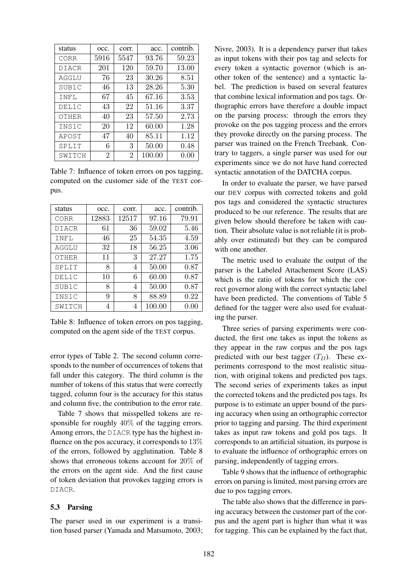| status       | occ. | corr. | acc.   | contrib. |
|--------------|------|-------|--------|----------|
| CORR         | 5916 | 5547  | 93.76  | 59.23    |
| <b>DIACR</b> | 201  | 120   | 59.70  | 13.00    |
| AGGLU        | 76   | 23    | 30.26  | 8.51     |
| SUB1C        | 46   | 13    | 28.26  | 5.30     |
| INFL         | 67   | 45    | 67.16  | 3.53     |
| DEL1C        | 43   | 22    | 51.16  | 3.37     |
| OTHER        | 40   | 23    | 57.50  | 2.73     |
| INS1C        | 20   | 12    | 60.00  | 1.28     |
| APOST        | 47   | 40    | 85.11  | 1.12     |
| SPLIT        | 6    | 3     | 50.00  | 0.48     |
| SWITCH       | 2    | 2     | 100.00 | 0.00     |

Table 7: Influence of token errors on pos tagging, computed on the customer side of the TEST corpus.

| status       | occ.  | corr. | acc.   | contrib. |
|--------------|-------|-------|--------|----------|
| CORR         | 12883 | 12517 | 97.16  | 79.91    |
| <b>DIACR</b> | 61    | 36    | 59.02  | 5.46     |
| INFL         | 46    | 25    | 54.35  | 4.59     |
| AGGLU        | 32    | 18    | 56.25  | 3.06     |
| OTHER        | 11    | 3     | 27.27  | 1.75     |
| SPLIT        | 8     | 4     | 50.00  | 0.87     |
| DEL1C        | 10    | 6     | 60.00  | 0.87     |
| SUB1C        | 8     | 4     | 50.00  | 0.87     |
| INS1C        | 9     | 8     | 88.89  | 0.22     |
| SWITCH       | 4     | 4     | 100.00 | $0.00\,$ |

Table 8: Influence of token errors on pos tagging, computed on the agent side of the TEST corpus.

error types of Table 2. The second column corresponds to the number of occurrences of tokens that fall under this category. The third column is the number of tokens of this status that were correctly tagged, column four is the accuracy for this status and column five, the contribution to the error rate.

Table 7 shows that misspelled tokens are responsible for roughly 40% of the tagging errors. Among errors, the DIACR type has the highest influence on the pos accuracy, it corresponds to 13% of the errors, followed by agglutination. Table 8 shows that erroneous tokens account for 20% of the errors on the agent side. And the first cause of token deviation that provokes tagging errors is DIACR.

#### 5.3 Parsing

The parser used in our experiment is a transition based parser (Yamada and Matsumoto, 2003;

Nivre, 2003). It is a dependency parser that takes as input tokens with their pos tag and selects for every token a syntactic governor (which is another token of the sentence) and a syntactic label. The prediction is based on several features that combine lexical information and pos tags. Orthographic errors have therefore a double impact on the parsing process: through the errors they provoke on the pos tagging process and the errors they provoke directly on the parsing process. The parser was trained on the French Treebank. Contrary to taggers, a single parser was used for our experiments since we do not have hand corrected syntactic annotation of the DATCHA corpus.

In order to evaluate the parser, we have parsed our DEV corpus with corrected tokens and gold pos tags and considered the syntactic structures produced to be our reference. The results that are given below should therefore be taken with caution. Their absolute value is not reliable (it is probably over estimated) but they can be compared with one another.

The metric used to evaluate the output of the parser is the Labeled Attachement Score (LAS) which is the ratio of tokens for which the correct governor along with the correct syntactic label have been predicted. The conventions of Table 5 defined for the tagger were also used for evaluating the parser.

Three series of parsing experiments were conducted, the first one takes as input the tokens as they appear in the raw corpus and the pos tags predicted with our best tagger  $(T_D)$ . These experiments correspond to the most realistic situation, with original tokens and predicted pos tags. The second series of experiments takes as input the corrected tokens and the predicted pos tags. Its purpose is to estimate an upper bound of the parsing accuracy when using an orthographic corrector prior to tagging and parsing. The third experiment takes as input raw tokens and gold pos tags. It corresponds to an artificial situation, its purpose is to evaluate the influence of orthographic errors on parsing, independently of tagging errors.

Table 9 shows that the influence of orthographic errors on parsing is limited, most parsing errors are due to pos tagging errors.

The table also shows that the difference in parsing accuracy between the customer part of the corpus and the agent part is higher than what it was for tagging. This can be explained by the fact that,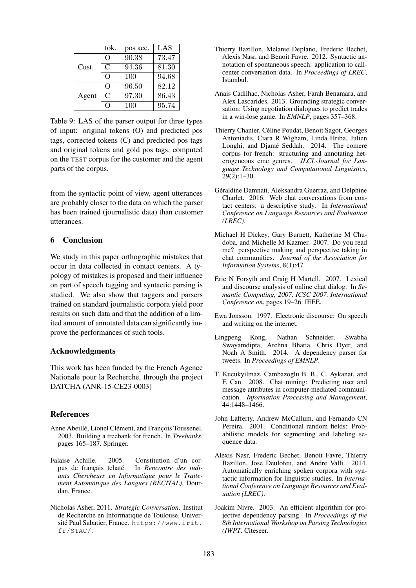|       | tok.         | pos acc. | LAS   |
|-------|--------------|----------|-------|
|       | O            | 90.38    | 73.47 |
| Cust. | $\mathsf{C}$ | 94.36    | 81.30 |
|       | O            | 100      | 94.68 |
|       | O            | 96.50    | 82.12 |
| Agent | C            | 97.30    | 86.43 |
|       | ∩            | 100      | 95.74 |

Table 9: LAS of the parser output for three types of input: original tokens (O) and predicted pos tags, corrected tokens (C) and predicted pos tags and original tokens and gold pos tags, computed on the TEST corpus for the customer and the agent parts of the corpus.

from the syntactic point of view, agent utterances are probably closer to the data on which the parser has been trained (journalistic data) than customer utterances.

# 6 Conclusion

We study in this paper orthographic mistakes that occur in data collected in contact centers. A typology of mistakes is proposed and their influence on part of speech tagging and syntactic parsing is studied. We also show that taggers and parsers trained on standard journalistic corpora yield poor results on such data and that the addition of a limited amount of annotated data can significantly improve the performances of such tools.

## Acknowledgments

This work has been funded by the French Agence Nationale pour la Recherche, through the project DATCHA (ANR-15-CE23-0003)

## References

- Anne Abeillé, Lionel Clément, and François Toussenel. 2003. Building a treebank for french. In *Treebanks*, pages 165–187. Springer.
- Falaise Achille. 2005. Constitution d'un corpus de français tchaté. In *Rencontre des tudiants Chercheurs en Informatique pour le Traitement Automatique des Langues (RECITAL)*, Dourdan, France.
- Nicholas Asher, 2011. *Strategic Conversation*. Institut de Recherche en Informatique de Toulouse, Université Paul Sabatier, France. https://www.irit. fr/STAC/.
- Thierry Bazillon, Melanie Deplano, Frederic Bechet, Alexis Nasr, and Benoit Favre. 2012. Syntactic annotation of spontaneous speech: application to callcenter conversation data. In *Proceedings of LREC*, Istambul.
- Anais Cadilhac, Nicholas Asher, Farah Benamara, and Alex Lascarides. 2013. Grounding strategic conversation: Using negotiation dialogues to predict trades in a win-lose game. In *EMNLP*, pages 357–368.
- Thierry Chanier, Céline Poudat, Benoit Sagot, Georges Antoniadis, Ciara R Wigham, Linda Hriba, Julien Longhi, and Djamé Seddah. 2014. The comere corpus for french: structuring and annotating heterogeneous cmc genres. *JLCL-Journal for Language Technology and Computational Linguistics*, 29(2):1–30.
- Géraldine Damnati, Aleksandra Guerraz, and Delphine Charlet. 2016. Web chat conversations from contact centers: a descriptive study. In *International Conference on Language Resources and Evaluation (LREC)*.
- Michael H Dickey, Gary Burnett, Katherine M Chudoba, and Michelle M Kazmer. 2007. Do you read me? perspective making and perspective taking in chat communities. *Journal of the Association for Information Systems*, 8(1):47.
- Eric N Forsyth and Craig H Martell. 2007. Lexical and discourse analysis of online chat dialog. In *Semantic Computing, 2007. ICSC 2007. International Conference on*, pages 19–26. IEEE.
- Ewa Jonsson. 1997. Electronic discourse: On speech and writing on the internet.
- Lingpeng Kong, Nathan Schneider, Swabha Swayamdipta, Archna Bhatia, Chris Dyer, and Noah A Smith. 2014. A dependency parser for tweets. In *Proceedings of EMNLP*.
- T. Kucukyilmaz, Cambazoglu B. B., C. Aykanat, and F. Can. 2008. Chat mining: Predicting user and message attributes in computer-mediated communication. *Information Processing and Management*, 44:1448–1466.
- John Lafferty, Andrew McCallum, and Fernando CN Pereira. 2001. Conditional random fields: Probabilistic models for segmenting and labeling sequence data.
- Alexis Nasr, Frederic Bechet, Benoit Favre, Thierry Bazillon, Jose Deulofeu, and Andre Valli. 2014. Automatically enriching spoken corpora with syntactic information for linguistic studies. In *International Conference on Language Resources and Evaluation (LREC)*.
- Joakim Nivre. 2003. An efficient algorithm for projective dependency parsing. In *Proceedings of the 8th International Workshop on Parsing Technologies (IWPT*. Citeseer.